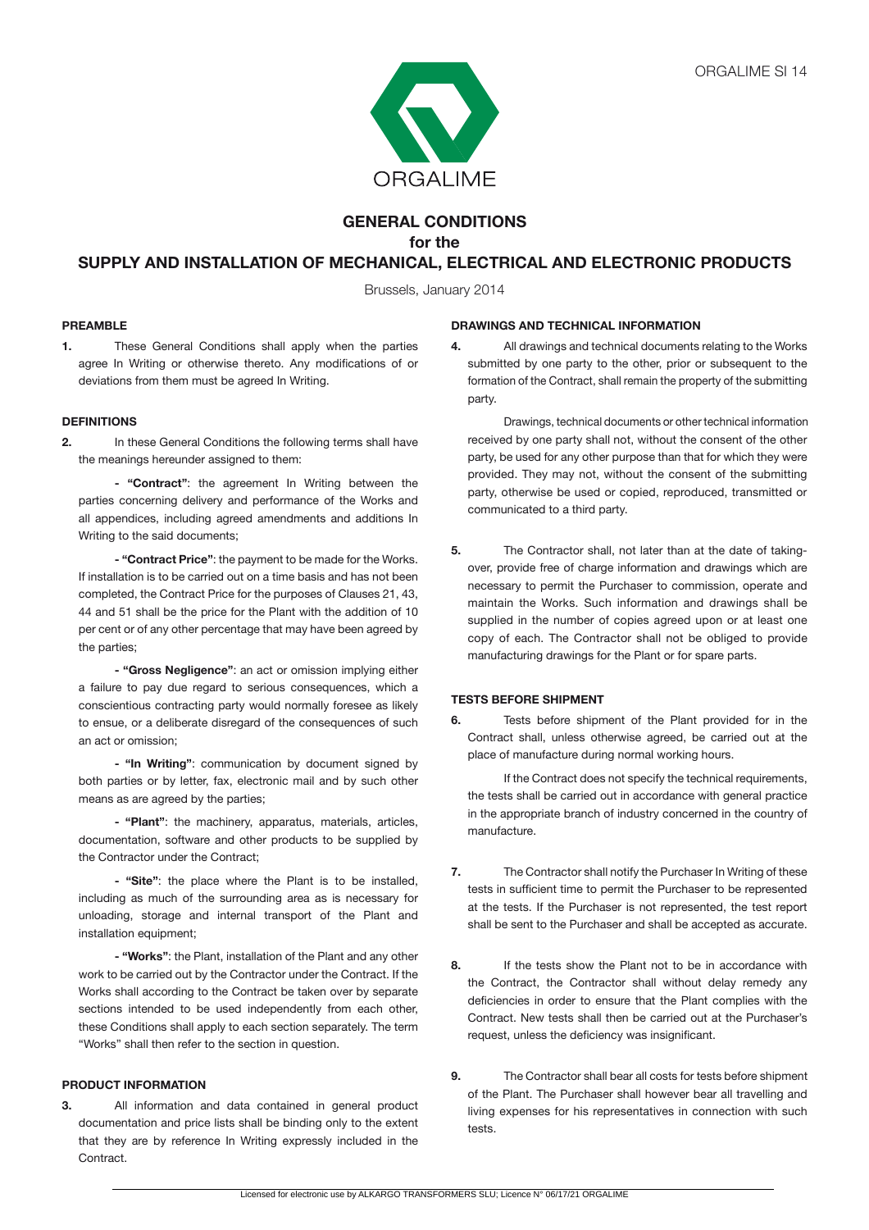

# **GENERAL CONDITIONS for the**

# **SUPPLY AND INSTALLATION OF MECHANICAL, ELECTRICAL AND ELECTRONIC PRODUCTS**

Brussels, January 2014

## **PREAMBLE**

**1.** These General Conditions shall apply when the parties agree In Writing or otherwise thereto. Any modifications of or deviations from them must be agreed In Writing.

### **DEFINITIONS**

**2.** In these General Conditions the following terms shall have the meanings hereunder assigned to them:

 **- "Contract"**: the agreement In Writing between the parties concerning delivery and performance of the Works and all appendices, including agreed amendments and additions In Writing to the said documents;

 **- "Contract Price"**: the payment to be made for the Works. If installation is to be carried out on a time basis and has not been completed, the Contract Price for the purposes of Clauses 21, 43, 44 and 51 shall be the price for the Plant with the addition of 10 per cent or of any other percentage that may have been agreed by the parties;

 **- "Gross Negligence"**: an act or omission implying either a failure to pay due regard to serious consequences, which a conscientious contracting party would normally foresee as likely to ensue, or a deliberate disregard of the consequences of such an act or omission;

**- "In Writing"**: communication by document signed by both parties or by letter, fax, electronic mail and by such other means as are agreed by the parties;

 **- "Plant"**: the machinery, apparatus, materials, articles, documentation, software and other products to be supplied by the Contractor under the Contract;

 **- "Site"**: the place where the Plant is to be installed, including as much of the surrounding area as is necessary for unloading, storage and internal transport of the Plant and installation equipment;

**- "Works"**: the Plant, installation of the Plant and any other work to be carried out by the Contractor under the Contract. If the Works shall according to the Contract be taken over by separate sections intended to be used independently from each other, these Conditions shall apply to each section separately. The term "Works" shall then refer to the section in question.

### **PRODUCT INFORMATION**

**3.** All information and data contained in general product documentation and price lists shall be binding only to the extent that they are by reference In Writing expressly included in the **Contract.** 

#### **DRAWINGS AND TECHNICAL INFORMATION**

**4.** All drawings and technical documents relating to the Works submitted by one party to the other, prior or subsequent to the formation of the Contract, shall remain the property of the submitting party.

 Drawings, technical documents or other technical information received by one party shall not, without the consent of the other party, be used for any other purpose than that for which they were provided. They may not, without the consent of the submitting party, otherwise be used or copied, reproduced, transmitted or communicated to a third party.

**5.** The Contractor shall, not later than at the date of takingover, provide free of charge information and drawings which are necessary to permit the Purchaser to commission, operate and maintain the Works. Such information and drawings shall be supplied in the number of copies agreed upon or at least one copy of each. The Contractor shall not be obliged to provide manufacturing drawings for the Plant or for spare parts.

## **TESTS BEFORE SHIPMENT**

**6.** Tests before shipment of the Plant provided for in the Contract shall, unless otherwise agreed, be carried out at the place of manufacture during normal working hours.

If the Contract does not specify the technical requirements, the tests shall be carried out in accordance with general practice in the appropriate branch of industry concerned in the country of manufacture.

- **7.** The Contractor shall notify the Purchaser In Writing of these tests in sufficient time to permit the Purchaser to be represented at the tests. If the Purchaser is not represented, the test report shall be sent to the Purchaser and shall be accepted as accurate.
- **8.** If the tests show the Plant not to be in accordance with the Contract, the Contractor shall without delay remedy any deficiencies in order to ensure that the Plant complies with the Contract. New tests shall then be carried out at the Purchaser's request, unless the deficiency was insignificant.
- **9.** The Contractor shall bear all costs for tests before shipment of the Plant. The Purchaser shall however bear all travelling and living expenses for his representatives in connection with such tests.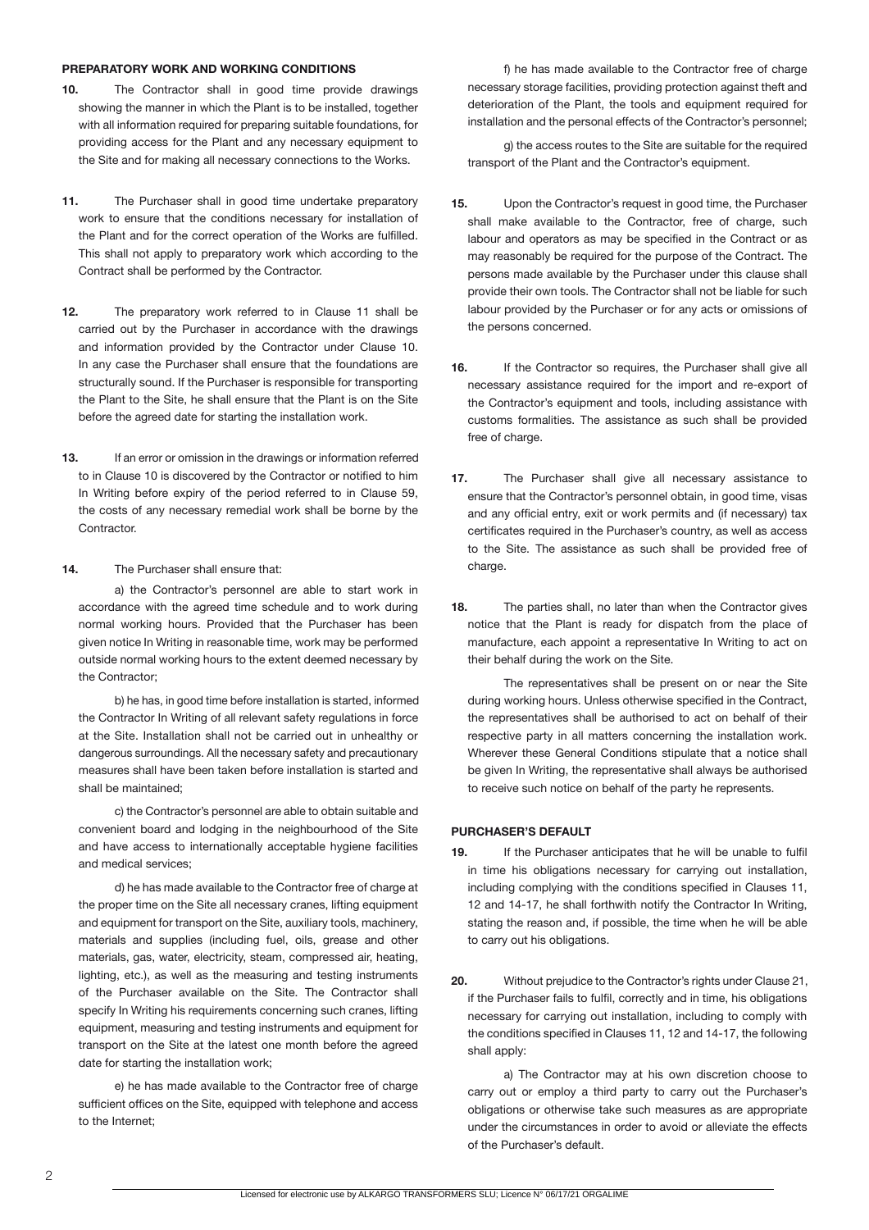#### **PREPARATORY WORK AND WORKING CONDITIONS**

- **10.** The Contractor shall in good time provide drawings showing the manner in which the Plant is to be installed, together with all information required for preparing suitable foundations, for providing access for the Plant and any necessary equipment to the Site and for making all necessary connections to the Works.
- **11.** The Purchaser shall in good time undertake preparatory work to ensure that the conditions necessary for installation of the Plant and for the correct operation of the Works are fulfilled. This shall not apply to preparatory work which according to the Contract shall be performed by the Contractor.
- **12.** The preparatory work referred to in Clause 11 shall be carried out by the Purchaser in accordance with the drawings and information provided by the Contractor under Clause 10. In any case the Purchaser shall ensure that the foundations are structurally sound. If the Purchaser is responsible for transporting the Plant to the Site, he shall ensure that the Plant is on the Site before the agreed date for starting the installation work.
- **13.** If an error or omission in the drawings or information referred to in Clause 10 is discovered by the Contractor or notified to him In Writing before expiry of the period referred to in Clause 59, the costs of any necessary remedial work shall be borne by the Contractor.
- **14.** The Purchaser shall ensure that:

a) the Contractor's personnel are able to start work in accordance with the agreed time schedule and to work during normal working hours. Provided that the Purchaser has been given notice In Writing in reasonable time, work may be performed outside normal working hours to the extent deemed necessary by the Contractor;

b) he has, in good time before installation is started, informed the Contractor In Writing of all relevant safety regulations in force at the Site. Installation shall not be carried out in unhealthy or dangerous surroundings. All the necessary safety and precautionary measures shall have been taken before installation is started and shall be maintained;

c) the Contractor's personnel are able to obtain suitable and convenient board and lodging in the neighbourhood of the Site and have access to internationally acceptable hygiene facilities and medical services;

 d) he has made available to the Contractor free of charge at the proper time on the Site all necessary cranes, lifting equipment and equipment for transport on the Site, auxiliary tools, machinery, materials and supplies (including fuel, oils, grease and other materials, gas, water, electricity, steam, compressed air, heating, lighting, etc.), as well as the measuring and testing instruments of the Purchaser available on the Site. The Contractor shall specify In Writing his requirements concerning such cranes, lifting equipment, measuring and testing instruments and equipment for transport on the Site at the latest one month before the agreed date for starting the installation work;

 e) he has made available to the Contractor free of charge sufficient offices on the Site, equipped with telephone and access to the Internet;

f) he has made available to the Contractor free of charge necessary storage facilities, providing protection against theft and deterioration of the Plant, the tools and equipment required for installation and the personal effects of the Contractor's personnel;

 g) the access routes to the Site are suitable for the required transport of the Plant and the Contractor's equipment.

- **15.** Upon the Contractor's request in good time, the Purchaser shall make available to the Contractor, free of charge, such labour and operators as may be specified in the Contract or as may reasonably be required for the purpose of the Contract. The persons made available by the Purchaser under this clause shall provide their own tools. The Contractor shall not be liable for such labour provided by the Purchaser or for any acts or omissions of the persons concerned.
- **16.** If the Contractor so requires, the Purchaser shall give all necessary assistance required for the import and re-export of the Contractor's equipment and tools, including assistance with customs formalities. The assistance as such shall be provided free of charge.
- **17.** The Purchaser shall give all necessary assistance to ensure that the Contractor's personnel obtain, in good time, visas and any official entry, exit or work permits and (if necessary) tax certificates required in the Purchaser's country, as well as access to the Site. The assistance as such shall be provided free of charge.
- **18.** The parties shall, no later than when the Contractor gives notice that the Plant is ready for dispatch from the place of manufacture, each appoint a representative In Writing to act on their behalf during the work on the Site.

 The representatives shall be present on or near the Site during working hours. Unless otherwise specified in the Contract, the representatives shall be authorised to act on behalf of their respective party in all matters concerning the installation work. Wherever these General Conditions stipulate that a notice shall be given In Writing, the representative shall always be authorised to receive such notice on behalf of the party he represents.

#### **PURCHASER'S DEFAULT**

- **19.** If the Purchaser anticipates that he will be unable to fulfil in time his obligations necessary for carrying out installation, including complying with the conditions specified in Clauses 11, 12 and 14-17, he shall forthwith notify the Contractor In Writing, stating the reason and, if possible, the time when he will be able to carry out his obligations.
- **20.** Without prejudice to the Contractor's rights under Clause 21, if the Purchaser fails to fulfil, correctly and in time, his obligations necessary for carrying out installation, including to comply with the conditions specified in Clauses 11, 12 and 14-17, the following shall apply:

 a) The Contractor may at his own discretion choose to carry out or employ a third party to carry out the Purchaser's obligations or otherwise take such measures as are appropriate under the circumstances in order to avoid or alleviate the effects of the Purchaser's default.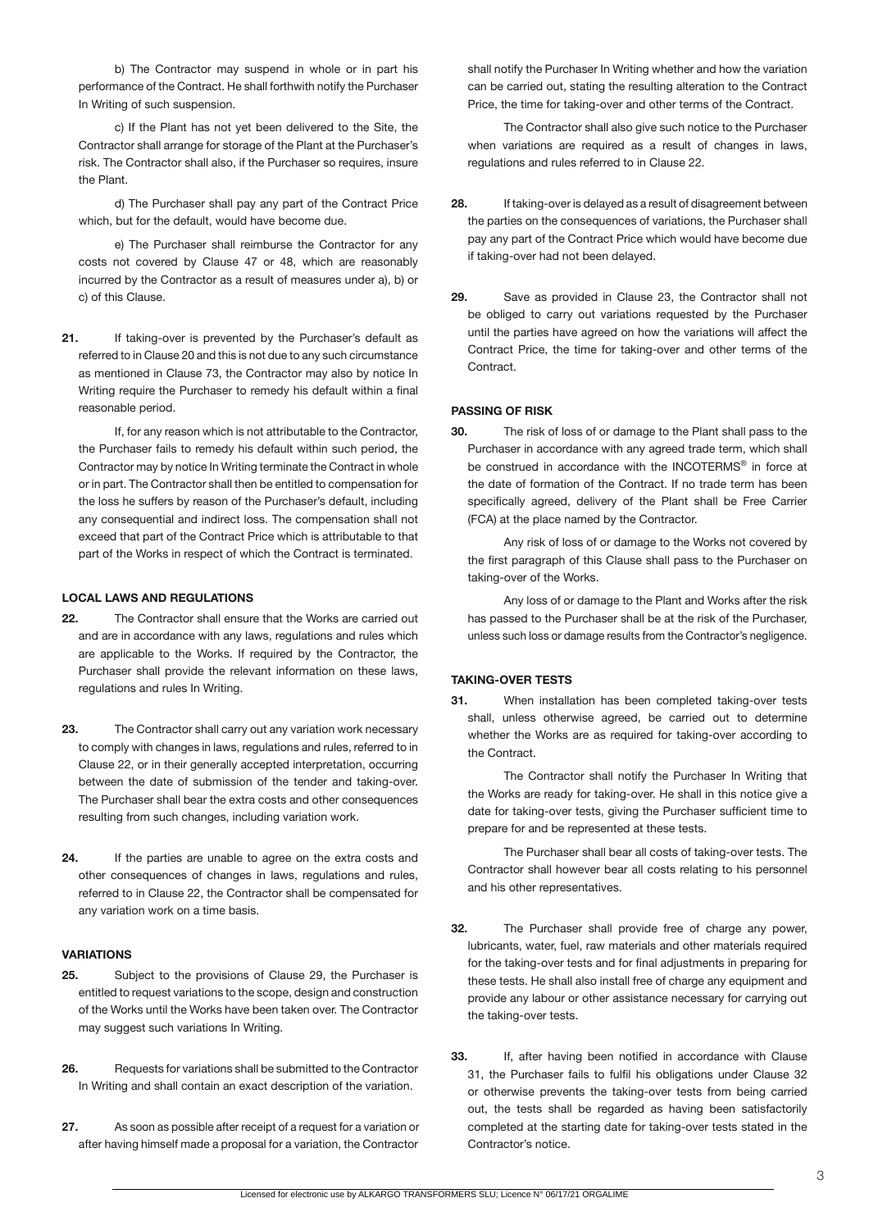b) The Contractor may suspend in whole or in part his performance of the Contract. He shall forthwith notify the Purchaser In Writing of such suspension.

c) If the Plant has not yet been delivered to the Site, the Contractor shall arrange for storage of the Plant at the Purchaser's risk. The Contractor shall also, if the Purchaser so requires, insure the Plant.

d) The Purchaser shall pay any part of the Contract Price which, but for the default, would have become due.

 e) The Purchaser shall reimburse the Contractor for any costs not covered by Clause 47 or 48, which are reasonably incurred by the Contractor as a result of measures under a), b) or c) of this Clause.

**21.** If taking-over is prevented by the Purchaser's default as referred to in Clause 20 and this is not due to any such circumstance as mentioned in Clause 73, the Contractor may also by notice In Writing require the Purchaser to remedy his default within a final reasonable period.

If, for any reason which is not attributable to the Contractor, the Purchaser fails to remedy his default within such period, the Contractor may by notice In Writing terminate the Contract in whole or in part. The Contractor shall then be entitled to compensation for the loss he suffers by reason of the Purchaser's default, including any consequential and indirect loss. The compensation shall not exceed that part of the Contract Price which is attributable to that part of the Works in respect of which the Contract is terminated.

#### **LOCAL LAWS AND REGULATIONS**

- **22.** The Contractor shall ensure that the Works are carried out and are in accordance with any laws, regulations and rules which are applicable to the Works. If required by the Contractor, the Purchaser shall provide the relevant information on these laws, regulations and rules In Writing.
- **23.** The Contractor shall carry out any variation work necessary to comply with changes in laws, regulations and rules, referred to in Clause 22, or in their generally accepted interpretation, occurring between the date of submission of the tender and taking-over. The Purchaser shall bear the extra costs and other consequences resulting from such changes, including variation work.
- **24.** If the parties are unable to agree on the extra costs and other consequences of changes in laws, regulations and rules, referred to in Clause 22, the Contractor shall be compensated for any variation work on a time basis.

### **VARIATIONS**

- **25.** Subject to the provisions of Clause 29, the Purchaser is entitled to request variations to the scope, design and construction of the Works until the Works have been taken over. The Contractor may suggest such variations In Writing.
- **26.** Requests for variations shall be submitted to the Contractor In Writing and shall contain an exact description of the variation.
- **27.** As soon as possible after receipt of a request for a variation or after having himself made a proposal for a variation, the Contractor

shall notify the Purchaser In Writing whether and how the variation can be carried out, stating the resulting alteration to the Contract Price, the time for taking-over and other terms of the Contract.

The Contractor shall also give such notice to the Purchaser when variations are required as a result of changes in laws, regulations and rules referred to in Clause 22.

- **28.** If taking-over is delayed as a result of disagreement between the parties on the consequences of variations, the Purchaser shall pay any part of the Contract Price which would have become due if taking-over had not been delayed.
- **29.** Save as provided in Clause 23, the Contractor shall not be obliged to carry out variations requested by the Purchaser until the parties have agreed on how the variations will affect the Contract Price, the time for taking-over and other terms of the **Contract.**

# **PASSING OF RISK**

**30.** The risk of loss of or damage to the Plant shall pass to the Purchaser in accordance with any agreed trade term, which shall be construed in accordance with the INCOTERMS<sup>®</sup> in force at the date of formation of the Contract. If no trade term has been specifically agreed, delivery of the Plant shall be Free Carrier (FCA) at the place named by the Contractor.

 Any risk of loss of or damage to the Works not covered by the first paragraph of this Clause shall pass to the Purchaser on taking-over of the Works.

 Any loss of or damage to the Plant and Works after the risk has passed to the Purchaser shall be at the risk of the Purchaser, unless such loss or damage results from the Contractor's negligence.

### **TAKING-OVER TESTS**

**31.** When installation has been completed taking-over tests shall, unless otherwise agreed, be carried out to determine whether the Works are as required for taking-over according to the Contract.

 The Contractor shall notify the Purchaser In Writing that the Works are ready for taking-over. He shall in this notice give a date for taking-over tests, giving the Purchaser sufficient time to prepare for and be represented at these tests.

 The Purchaser shall bear all costs of taking-over tests. The Contractor shall however bear all costs relating to his personnel and his other representatives.

- **32.** The Purchaser shall provide free of charge any power, lubricants, water, fuel, raw materials and other materials required for the taking-over tests and for final adjustments in preparing for these tests. He shall also install free of charge any equipment and provide any labour or other assistance necessary for carrying out the taking-over tests.
- **33.** If, after having been notified in accordance with Clause 31, the Purchaser fails to fulfil his obligations under Clause 32 or otherwise prevents the taking-over tests from being carried out, the tests shall be regarded as having been satisfactorily completed at the starting date for taking-over tests stated in the Contractor's notice.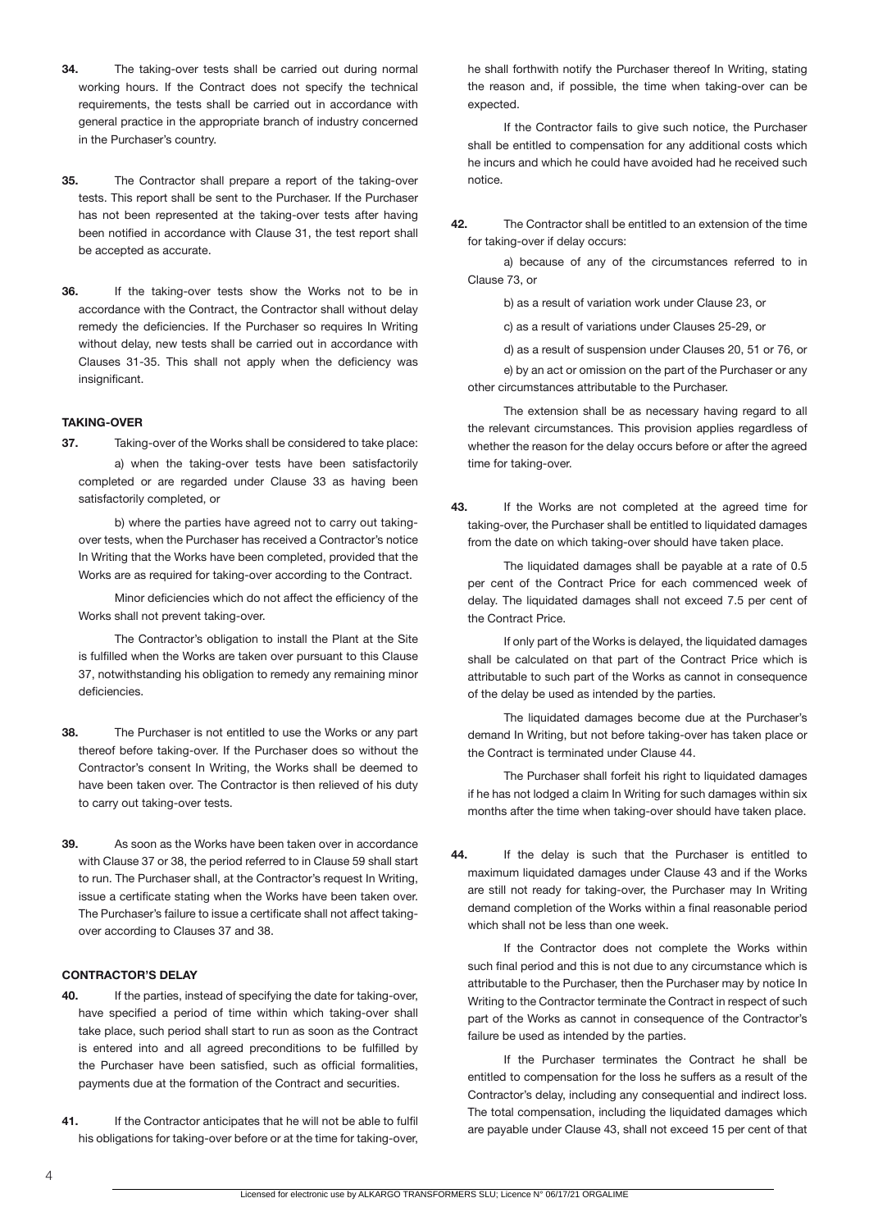- **34.** The taking-over tests shall be carried out during normal working hours. If the Contract does not specify the technical requirements, the tests shall be carried out in accordance with general practice in the appropriate branch of industry concerned in the Purchaser's country.
- **35.** The Contractor shall prepare a report of the taking-over tests. This report shall be sent to the Purchaser. If the Purchaser has not been represented at the taking-over tests after having been notified in accordance with Clause 31, the test report shall be accepted as accurate.
- **36.** If the taking-over tests show the Works not to be in accordance with the Contract, the Contractor shall without delay remedy the deficiencies. If the Purchaser so requires In Writing without delay, new tests shall be carried out in accordance with Clauses 31-35. This shall not apply when the deficiency was insignificant.

## **TAKING-OVER**

**37.** Taking-over of the Works shall be considered to take place: a) when the taking-over tests have been satisfactorily completed or are regarded under Clause 33 as having been satisfactorily completed, or

b) where the parties have agreed not to carry out takingover tests, when the Purchaser has received a Contractor's notice In Writing that the Works have been completed, provided that the Works are as required for taking-over according to the Contract.

Minor deficiencies which do not affect the efficiency of the Works shall not prevent taking-over.

 The Contractor's obligation to install the Plant at the Site is fulfilled when the Works are taken over pursuant to this Clause 37, notwithstanding his obligation to remedy any remaining minor deficiencies.

- **38.** The Purchaser is not entitled to use the Works or any part thereof before taking-over. If the Purchaser does so without the Contractor's consent In Writing, the Works shall be deemed to have been taken over. The Contractor is then relieved of his duty to carry out taking-over tests.
- **39.** As soon as the Works have been taken over in accordance with Clause 37 or 38, the period referred to in Clause 59 shall start to run. The Purchaser shall, at the Contractor's request In Writing, issue a certificate stating when the Works have been taken over. The Purchaser's failure to issue a certificate shall not affect takingover according to Clauses 37 and 38.

# **CONTRACTOR'S DELAY**

- **40.** If the parties, instead of specifying the date for taking-over, have specified a period of time within which taking-over shall take place, such period shall start to run as soon as the Contract is entered into and all agreed preconditions to be fulfilled by the Purchaser have been satisfied, such as official formalities, payments due at the formation of the Contract and securities.
- **41.** If the Contractor anticipates that he will not be able to fulfil his obligations for taking-over before or at the time for taking-over,

he shall forthwith notify the Purchaser thereof In Writing, stating the reason and, if possible, the time when taking-over can be expected.

If the Contractor fails to give such notice, the Purchaser shall be entitled to compensation for any additional costs which he incurs and which he could have avoided had he received such notice.

**42.** The Contractor shall be entitled to an extension of the time for taking-over if delay occurs:

a) because of any of the circumstances referred to in Clause 73, or

b) as a result of variation work under Clause 23, or

c) as a result of variations under Clauses 25-29, or

d) as a result of suspension under Clauses 20, 51 or 76, or

 e) by an act or omission on the part of the Purchaser or any other circumstances attributable to the Purchaser.

The extension shall be as necessary having regard to all the relevant circumstances. This provision applies regardless of whether the reason for the delay occurs before or after the agreed time for taking-over.

**43.** If the Works are not completed at the agreed time for taking-over, the Purchaser shall be entitled to liquidated damages from the date on which taking-over should have taken place.

The liquidated damages shall be payable at a rate of 0.5 per cent of the Contract Price for each commenced week of delay. The liquidated damages shall not exceed 7.5 per cent of the Contract Price.

If only part of the Works is delayed, the liquidated damages shall be calculated on that part of the Contract Price which is attributable to such part of the Works as cannot in consequence of the delay be used as intended by the parties.

The liquidated damages become due at the Purchaser's demand In Writing, but not before taking-over has taken place or the Contract is terminated under Clause 44.

 The Purchaser shall forfeit his right to liquidated damages if he has not lodged a claim In Writing for such damages within six months after the time when taking-over should have taken place.

**44.** If the delay is such that the Purchaser is entitled to maximum liquidated damages under Clause 43 and if the Works are still not ready for taking-over, the Purchaser may In Writing demand completion of the Works within a final reasonable period which shall not be less than one week.

If the Contractor does not complete the Works within such final period and this is not due to any circumstance which is attributable to the Purchaser, then the Purchaser may by notice In Writing to the Contractor terminate the Contract in respect of such part of the Works as cannot in consequence of the Contractor's failure be used as intended by the parties.

If the Purchaser terminates the Contract he shall be entitled to compensation for the loss he suffers as a result of the Contractor's delay, including any consequential and indirect loss. The total compensation, including the liquidated damages which are payable under Clause 43, shall not exceed 15 per cent of that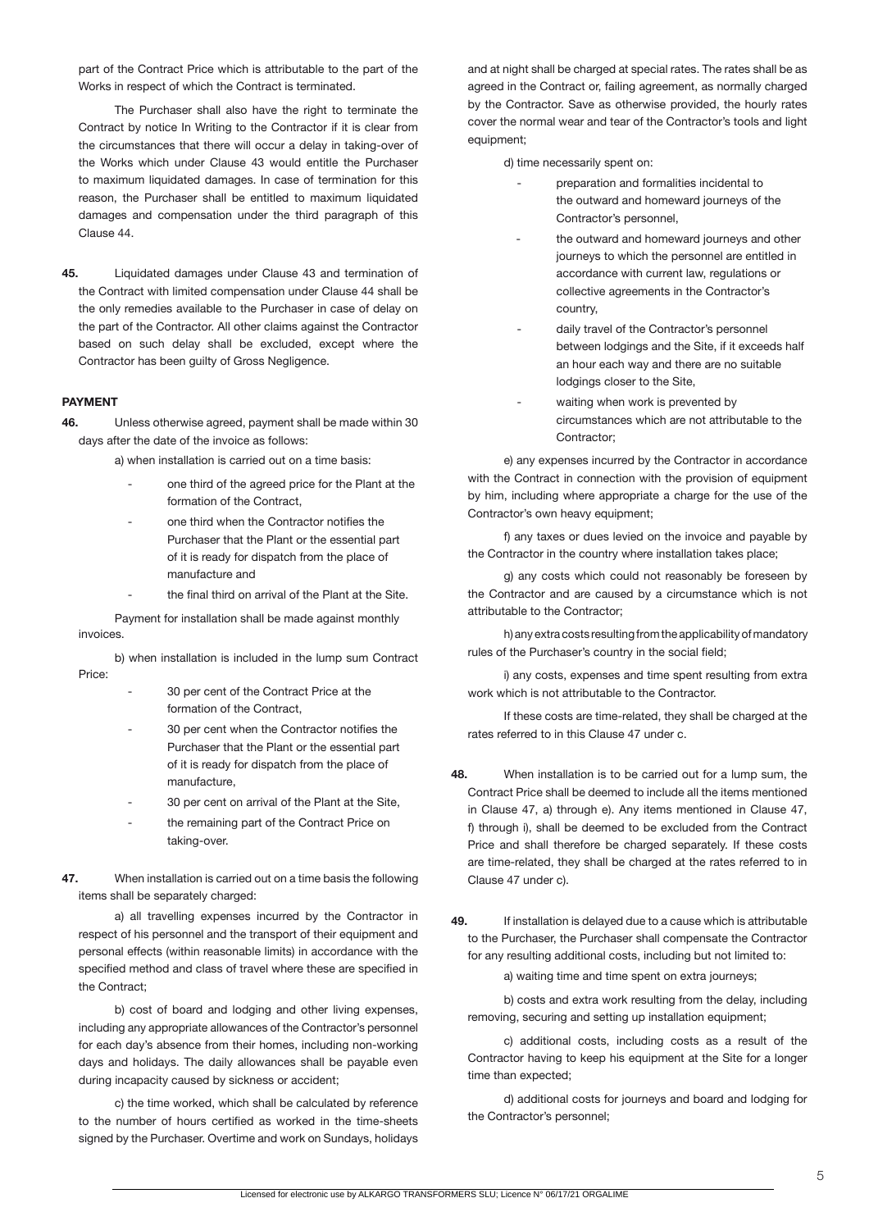part of the Contract Price which is attributable to the part of the Works in respect of which the Contract is terminated.

The Purchaser shall also have the right to terminate the Contract by notice In Writing to the Contractor if it is clear from the circumstances that there will occur a delay in taking-over of the Works which under Clause 43 would entitle the Purchaser to maximum liquidated damages. In case of termination for this reason, the Purchaser shall be entitled to maximum liquidated damages and compensation under the third paragraph of this Clause 44.

**45.** Liquidated damages under Clause 43 and termination of the Contract with limited compensation under Clause 44 shall be the only remedies available to the Purchaser in case of delay on the part of the Contractor. All other claims against the Contractor based on such delay shall be excluded, except where the Contractor has been guilty of Gross Negligence.

### **PAYMENT**

**46.** Unless otherwise agreed, payment shall be made within 30 days after the date of the invoice as follows:

a) when installation is carried out on a time basis:

- one third of the agreed price for the Plant at the formation of the Contract,
- one third when the Contractor notifies the Purchaser that the Plant or the essential part of it is ready for dispatch from the place of manufacture and
- the final third on arrival of the Plant at the Site.

Payment for installation shall be made against monthly invoices.

b) when installation is included in the lump sum Contract Price:

- 30 per cent of the Contract Price at the formation of the Contract,
- 30 per cent when the Contractor notifies the Purchaser that the Plant or the essential part of it is ready for dispatch from the place of manufacture,
- 30 per cent on arrival of the Plant at the Site,
- the remaining part of the Contract Price on taking-over.
- **47.** When installation is carried out on a time basis the following items shall be separately charged:

 a) all travelling expenses incurred by the Contractor in respect of his personnel and the transport of their equipment and personal effects (within reasonable limits) in accordance with the specified method and class of travel where these are specified in the Contract;

b) cost of board and lodging and other living expenses, including any appropriate allowances of the Contractor's personnel for each day's absence from their homes, including non-working days and holidays. The daily allowances shall be payable even during incapacity caused by sickness or accident;

c) the time worked, which shall be calculated by reference to the number of hours certified as worked in the time-sheets signed by the Purchaser. Overtime and work on Sundays, holidays and at night shall be charged at special rates. The rates shall be as agreed in the Contract or, failing agreement, as normally charged by the Contractor. Save as otherwise provided, the hourly rates cover the normal wear and tear of the Contractor's tools and light equipment;

d) time necessarily spent on:

- preparation and formalities incidental to the outward and homeward journeys of the Contractor's personnel,
- the outward and homeward journeys and other journeys to which the personnel are entitled in accordance with current law, regulations or collective agreements in the Contractor's country,
- daily travel of the Contractor's personnel between lodgings and the Site, if it exceeds half an hour each way and there are no suitable lodgings closer to the Site,
- waiting when work is prevented by circumstances which are not attributable to the Contractor;

 e) any expenses incurred by the Contractor in accordance with the Contract in connection with the provision of equipment by him, including where appropriate a charge for the use of the Contractor's own heavy equipment;

f) any taxes or dues levied on the invoice and payable by the Contractor in the country where installation takes place;

 g) any costs which could not reasonably be foreseen by the Contractor and are caused by a circumstance which is not attributable to the Contractor;

 h) any extra costs resulting from the applicability of mandatory rules of the Purchaser's country in the social field;

i) any costs, expenses and time spent resulting from extra work which is not attributable to the Contractor.

If these costs are time-related, they shall be charged at the rates referred to in this Clause 47 under c.

- **48.** When installation is to be carried out for a lump sum, the Contract Price shall be deemed to include all the items mentioned in Clause 47, a) through e). Any items mentioned in Clause 47, f) through i), shall be deemed to be excluded from the Contract Price and shall therefore be charged separately. If these costs are time-related, they shall be charged at the rates referred to in Clause 47 under c).
- **49.** If installation is delayed due to a cause which is attributable to the Purchaser, the Purchaser shall compensate the Contractor for any resulting additional costs, including but not limited to:

a) waiting time and time spent on extra journeys;

b) costs and extra work resulting from the delay, including removing, securing and setting up installation equipment;

c) additional costs, including costs as a result of the Contractor having to keep his equipment at the Site for a longer time than expected;

 d) additional costs for journeys and board and lodging for the Contractor's personnel;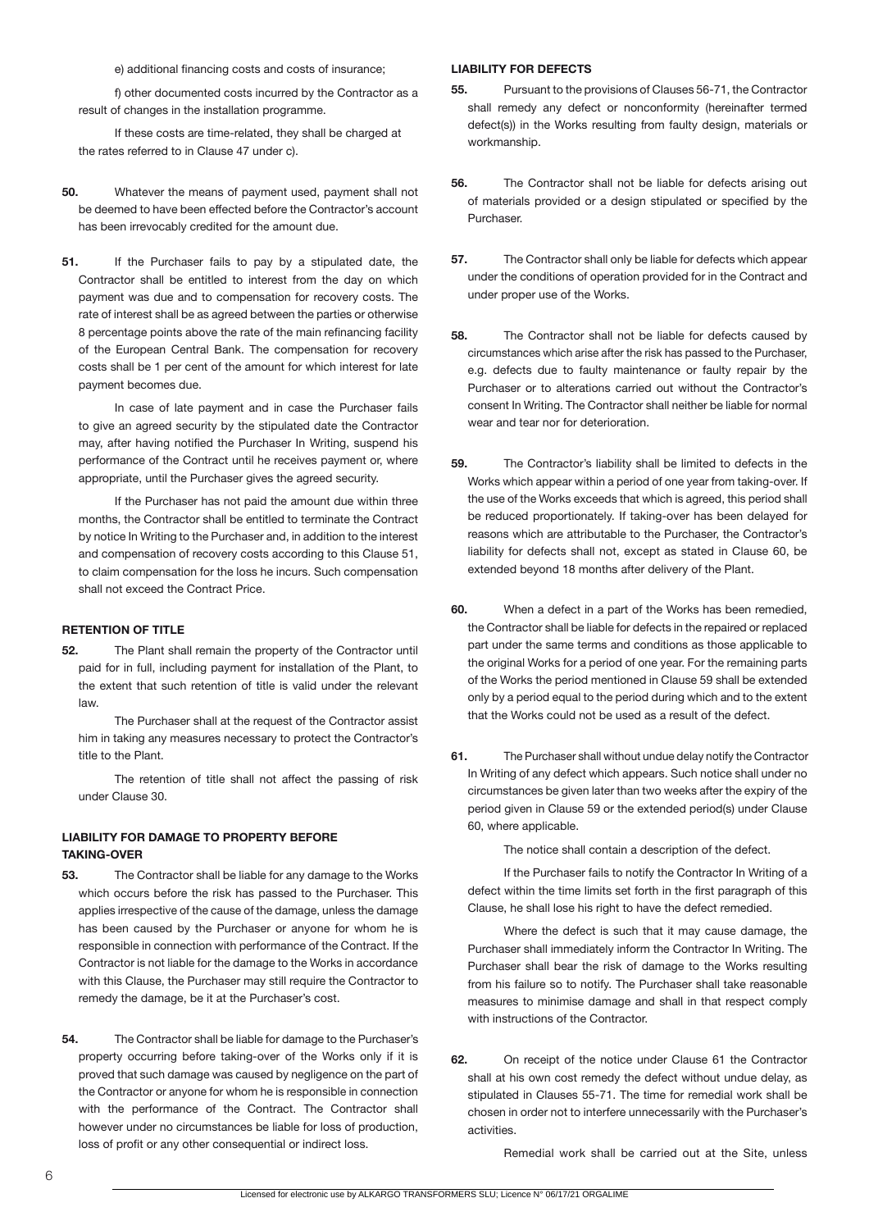e) additional financing costs and costs of insurance;

f) other documented costs incurred by the Contractor as a result of changes in the installation programme.

If these costs are time-related, they shall be charged at the rates referred to in Clause 47 under c).

- **50.** Whatever the means of payment used, payment shall not be deemed to have been effected before the Contractor's account has been irrevocably credited for the amount due.
- **51.** If the Purchaser fails to pay by a stipulated date, the Contractor shall be entitled to interest from the day on which payment was due and to compensation for recovery costs. The rate of interest shall be as agreed between the parties or otherwise 8 percentage points above the rate of the main refinancing facility of the European Central Bank. The compensation for recovery costs shall be 1 per cent of the amount for which interest for late payment becomes due.

In case of late payment and in case the Purchaser fails to give an agreed security by the stipulated date the Contractor may, after having notified the Purchaser In Writing, suspend his performance of the Contract until he receives payment or, where appropriate, until the Purchaser gives the agreed security.

If the Purchaser has not paid the amount due within three months, the Contractor shall be entitled to terminate the Contract by notice In Writing to the Purchaser and, in addition to the interest and compensation of recovery costs according to this Clause 51, to claim compensation for the loss he incurs. Such compensation shall not exceed the Contract Price.

## **RETENTION OF TITLE**

**52.** The Plant shall remain the property of the Contractor until paid for in full, including payment for installation of the Plant, to the extent that such retention of title is valid under the relevant law.

The Purchaser shall at the request of the Contractor assist him in taking any measures necessary to protect the Contractor's title to the Plant.

 The retention of title shall not affect the passing of risk under Clause 30.

# **LIABILITY FOR DAMAGE TO PROPERTY BEFORE TAKING-OVER**

- **53.** The Contractor shall be liable for any damage to the Works which occurs before the risk has passed to the Purchaser. This applies irrespective of the cause of the damage, unless the damage has been caused by the Purchaser or anyone for whom he is responsible in connection with performance of the Contract. If the Contractor is not liable for the damage to the Works in accordance with this Clause, the Purchaser may still require the Contractor to remedy the damage, be it at the Purchaser's cost.
- **54.** The Contractor shall be liable for damage to the Purchaser's property occurring before taking-over of the Works only if it is proved that such damage was caused by negligence on the part of the Contractor or anyone for whom he is responsible in connection with the performance of the Contract. The Contractor shall however under no circumstances be liable for loss of production, loss of profit or any other consequential or indirect loss.

#### **LIABILITY FOR DEFECTS**

- **55.** Pursuant to the provisions of Clauses 56-71, the Contractor shall remedy any defect or nonconformity (hereinafter termed defect(s)) in the Works resulting from faulty design, materials or workmanship.
- **56.** The Contractor shall not be liable for defects arising out of materials provided or a design stipulated or specified by the Purchaser.
- **57.** The Contractor shall only be liable for defects which appear under the conditions of operation provided for in the Contract and under proper use of the Works.
- **58.** The Contractor shall not be liable for defects caused by circumstances which arise after the risk has passed to the Purchaser, e.g. defects due to faulty maintenance or faulty repair by the Purchaser or to alterations carried out without the Contractor's consent In Writing. The Contractor shall neither be liable for normal wear and tear nor for deterioration.
- **59.** The Contractor's liability shall be limited to defects in the Works which appear within a period of one year from taking-over. If the use of the Works exceeds that which is agreed, this period shall be reduced proportionately. If taking-over has been delayed for reasons which are attributable to the Purchaser, the Contractor's liability for defects shall not, except as stated in Clause 60, be extended beyond 18 months after delivery of the Plant.
- **60.** When a defect in a part of the Works has been remedied, the Contractor shall be liable for defects in the repaired or replaced part under the same terms and conditions as those applicable to the original Works for a period of one year. For the remaining parts of the Works the period mentioned in Clause 59 shall be extended only by a period equal to the period during which and to the extent that the Works could not be used as a result of the defect.
- **61.** The Purchaser shall without undue delay notify the Contractor In Writing of any defect which appears. Such notice shall under no circumstances be given later than two weeks after the expiry of the period given in Clause 59 or the extended period(s) under Clause 60, where applicable.

The notice shall contain a description of the defect.

If the Purchaser fails to notify the Contractor In Writing of a defect within the time limits set forth in the first paragraph of this Clause, he shall lose his right to have the defect remedied.

 Where the defect is such that it may cause damage, the Purchaser shall immediately inform the Contractor In Writing. The Purchaser shall bear the risk of damage to the Works resulting from his failure so to notify. The Purchaser shall take reasonable measures to minimise damage and shall in that respect comply with instructions of the Contractor.

**62.** On receipt of the notice under Clause 61 the Contractor shall at his own cost remedy the defect without undue delay, as stipulated in Clauses 55-71. The time for remedial work shall be chosen in order not to interfere unnecessarily with the Purchaser's activities.

Remedial work shall be carried out at the Site, unless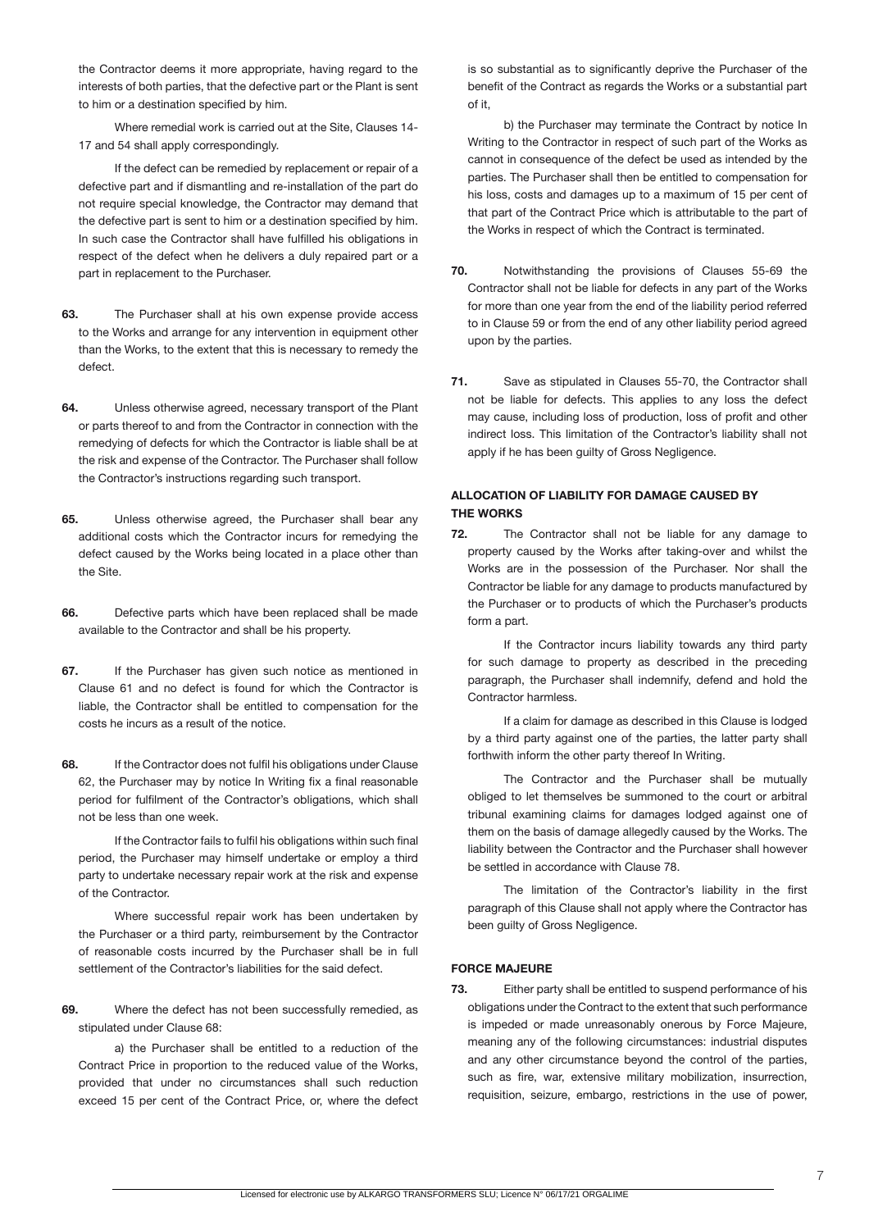the Contractor deems it more appropriate, having regard to the interests of both parties, that the defective part or the Plant is sent to him or a destination specified by him.

 Where remedial work is carried out at the Site, Clauses 14- 17 and 54 shall apply correspondingly.

If the defect can be remedied by replacement or repair of a defective part and if dismantling and re-installation of the part do not require special knowledge, the Contractor may demand that the defective part is sent to him or a destination specified by him. In such case the Contractor shall have fulfilled his obligations in respect of the defect when he delivers a duly repaired part or a part in replacement to the Purchaser.

- **63.** The Purchaser shall at his own expense provide access to the Works and arrange for any intervention in equipment other than the Works, to the extent that this is necessary to remedy the defect.
- **64.** Unless otherwise agreed, necessary transport of the Plant or parts thereof to and from the Contractor in connection with the remedying of defects for which the Contractor is liable shall be at the risk and expense of the Contractor. The Purchaser shall follow the Contractor's instructions regarding such transport.
- **65.** Unless otherwise agreed, the Purchaser shall bear any additional costs which the Contractor incurs for remedying the defect caused by the Works being located in a place other than the Site.
- **66.** Defective parts which have been replaced shall be made available to the Contractor and shall be his property.
- **67.** If the Purchaser has given such notice as mentioned in Clause 61 and no defect is found for which the Contractor is liable, the Contractor shall be entitled to compensation for the costs he incurs as a result of the notice.
- **68.** If the Contractor does not fulfil his obligations under Clause 62, the Purchaser may by notice In Writing fix a final reasonable period for fulfilment of the Contractor's obligations, which shall not be less than one week.

If the Contractor fails to fulfil his obligations within such final period, the Purchaser may himself undertake or employ a third party to undertake necessary repair work at the risk and expense of the Contractor.

 Where successful repair work has been undertaken by the Purchaser or a third party, reimbursement by the Contractor of reasonable costs incurred by the Purchaser shall be in full settlement of the Contractor's liabilities for the said defect.

**69.** Where the defect has not been successfully remedied, as stipulated under Clause 68:

a) the Purchaser shall be entitled to a reduction of the Contract Price in proportion to the reduced value of the Works, provided that under no circumstances shall such reduction exceed 15 per cent of the Contract Price, or, where the defect

is so substantial as to significantly deprive the Purchaser of the benefit of the Contract as regards the Works or a substantial part of it,

b) the Purchaser may terminate the Contract by notice In Writing to the Contractor in respect of such part of the Works as cannot in consequence of the defect be used as intended by the parties. The Purchaser shall then be entitled to compensation for his loss, costs and damages up to a maximum of 15 per cent of that part of the Contract Price which is attributable to the part of the Works in respect of which the Contract is terminated.

- **70.** Notwithstanding the provisions of Clauses 55-69 the Contractor shall not be liable for defects in any part of the Works for more than one year from the end of the liability period referred to in Clause 59 or from the end of any other liability period agreed upon by the parties.
- **71.** Save as stipulated in Clauses 55-70, the Contractor shall not be liable for defects. This applies to any loss the defect may cause, including loss of production, loss of profit and other indirect loss. This limitation of the Contractor's liability shall not apply if he has been guilty of Gross Negligence.

# **ALLOCATION OF LIABILITY FOR DAMAGE CAUSED BY THE WORKS**

**72.** The Contractor shall not be liable for any damage to property caused by the Works after taking-over and whilst the Works are in the possession of the Purchaser. Nor shall the Contractor be liable for any damage to products manufactured by the Purchaser or to products of which the Purchaser's products form a part.

If the Contractor incurs liability towards any third party for such damage to property as described in the preceding paragraph, the Purchaser shall indemnify, defend and hold the Contractor harmless.

If a claim for damage as described in this Clause is lodged by a third party against one of the parties, the latter party shall forthwith inform the other party thereof In Writing.

 The Contractor and the Purchaser shall be mutually obliged to let themselves be summoned to the court or arbitral tribunal examining claims for damages lodged against one of them on the basis of damage allegedly caused by the Works. The liability between the Contractor and the Purchaser shall however be settled in accordance with Clause 78.

 The limitation of the Contractor's liability in the first paragraph of this Clause shall not apply where the Contractor has been guilty of Gross Negligence.

### **FORCE MAJEURE**

**73.** Either party shall be entitled to suspend performance of his obligations under the Contract to the extent that such performance is impeded or made unreasonably onerous by Force Majeure, meaning any of the following circumstances: industrial disputes and any other circumstance beyond the control of the parties, such as fire, war, extensive military mobilization, insurrection, requisition, seizure, embargo, restrictions in the use of power,